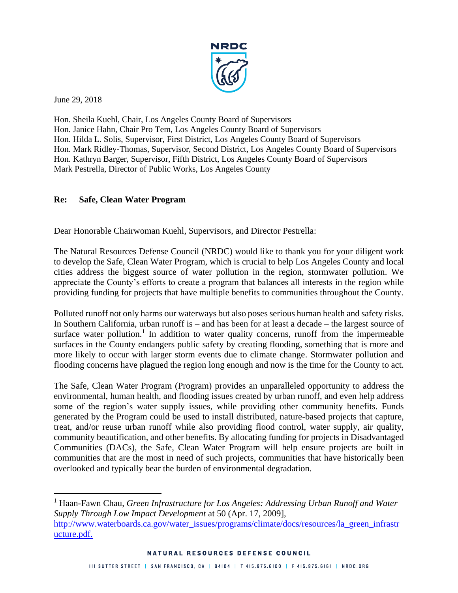

June 29, 2018

 $\overline{a}$ 

Hon. Sheila Kuehl, Chair, Los Angeles County Board of Supervisors Hon. Janice Hahn, Chair Pro Tem, Los Angeles County Board of Supervisors Hon. Hilda L. Solis, Supervisor, First District, Los Angeles County Board of Supervisors Hon. Mark Ridley-Thomas, Supervisor, Second District, Los Angeles County Board of Supervisors Hon. Kathryn Barger, Supervisor, Fifth District, Los Angeles County Board of Supervisors Mark Pestrella, Director of Public Works, Los Angeles County

## **Re: Safe, Clean Water Program**

Dear Honorable Chairwoman Kuehl, Supervisors, and Director Pestrella:

The Natural Resources Defense Council (NRDC) would like to thank you for your diligent work to develop the Safe, Clean Water Program, which is crucial to help Los Angeles County and local cities address the biggest source of water pollution in the region, stormwater pollution. We appreciate the County's efforts to create a program that balances all interests in the region while providing funding for projects that have multiple benefits to communities throughout the County.

Polluted runoff not only harms our waterways but also poses serious human health and safety risks. In Southern California, urban runoff is – and has been for at least a decade – the largest source of surface water pollution.<sup>1</sup> In addition to water quality concerns, runoff from the impermeable surfaces in the County endangers public safety by creating flooding, something that is more and more likely to occur with larger storm events due to climate change. Stormwater pollution and flooding concerns have plagued the region long enough and now is the time for the County to act.

The Safe, Clean Water Program (Program) provides an unparalleled opportunity to address the environmental, human health, and flooding issues created by urban runoff, and even help address some of the region's water supply issues, while providing other community benefits. Funds generated by the Program could be used to install distributed, nature-based projects that capture, treat, and/or reuse urban runoff while also providing flood control, water supply, air quality, community beautification, and other benefits. By allocating funding for projects in Disadvantaged Communities (DACs), the Safe, Clean Water Program will help ensure projects are built in communities that are the most in need of such projects, communities that have historically been overlooked and typically bear the burden of environmental degradation.

<sup>1</sup> Haan-Fawn Chau, *Green Infrastructure for Los Angeles: Addressing Urban Runoff and Water Supply Through Low Impact Development* at 50 (Apr. 17, 2009], [http://www.waterboards.ca.gov/water\\_issues/programs/climate/docs/resources/la\\_green\\_infrastr](http://www.waterboards.ca.gov/water_issues/programs/climate/docs/resources/la_green_infrastructure.pdf) [ucture.pdf.](http://www.waterboards.ca.gov/water_issues/programs/climate/docs/resources/la_green_infrastructure.pdf)